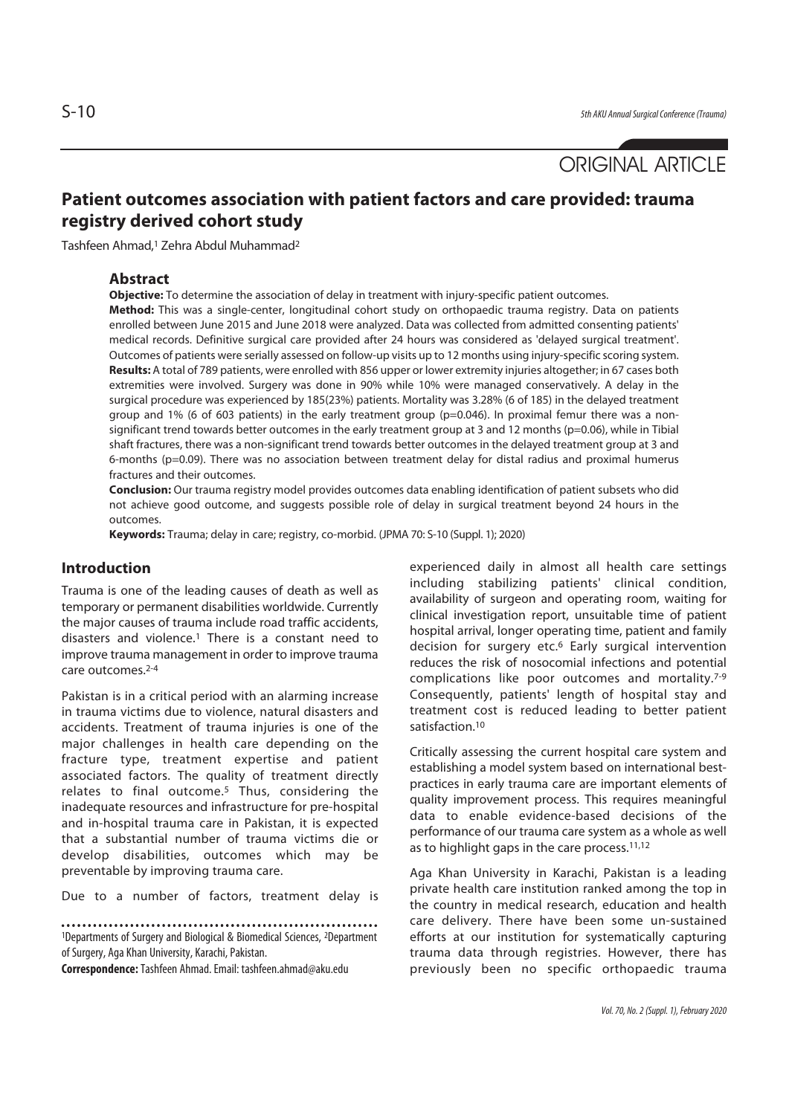# ORIGINAL ARTICLE

## **Patient outcomes association with patient factors and care provided: trauma registry derived cohort study**

Tashfeen Ahmad,1 Zehra Abdul Muhammad2

#### **Abstract**

**Objective:** To determine the association of delay in treatment with injury-specific patient outcomes.

**Method:** This was a single-center, longitudinal cohort study on orthopaedic trauma registry. Data on patients enrolled between June 2015 and June 2018 were analyzed. Data was collected from admitted consenting patients' medical records. Definitive surgical care provided after 24 hours was considered as 'delayed surgical treatment'. Outcomes of patients were serially assessed on follow-up visits up to 12 months using injury-specific scoring system. **Results:** A total of 789 patients, were enrolled with 856 upper or lower extremity injuries altogether; in 67 cases both extremities were involved. Surgery was done in 90% while 10% were managed conservatively. A delay in the surgical procedure was experienced by 185(23%) patients. Mortality was 3.28% (6 of 185) in the delayed treatment group and 1% (6 of 603 patients) in the early treatment group (p=0.046). In proximal femur there was a nonsignificant trend towards better outcomes in the early treatment group at 3 and 12 months (p=0.06), while in Tibial shaft fractures, there was a non-significant trend towards better outcomes in the delayed treatment group at 3 and 6-months (p=0.09). There was no association between treatment delay for distal radius and proximal humerus fractures and their outcomes.

**Conclusion:** Our trauma registry model provides outcomes data enabling identification of patient subsets who did not achieve good outcome, and suggests possible role of delay in surgical treatment beyond 24 hours in the outcomes.

**Keywords:** Trauma; delay in care; registry, co-morbid. (JPMA 70: S-10 (Suppl. 1); 2020)

#### **Introduction**

Trauma is one of the leading causes of death as well as temporary or permanent disabilities worldwide. Currently the major causes of trauma include road traffic accidents, disasters and violence.1 There is a constant need to improve trauma management in order to improve trauma care outcomes.2-4

Pakistan is in a critical period with an alarming increase in trauma victims due to violence, natural disasters and accidents. Treatment of trauma injuries is one of the major challenges in health care depending on the fracture type, treatment expertise and patient associated factors. The quality of treatment directly relates to final outcome.5 Thus, considering the inadequate resources and infrastructure for pre-hospital and in-hospital trauma care in Pakistan, it is expected that a substantial number of trauma victims die or develop disabilities, outcomes which may be preventable by improving trauma care.

Due to a number of factors, treatment delay is

1Departments of Surgery and Biological & Biomedical Sciences, 2Department of Surgery, Aga Khan University, Karachi, Pakistan.

**Correspondence:** Tashfeen Ahmad. Email: tashfeen.ahmad@aku.edu

experienced daily in almost all health care settings including stabilizing patients' clinical condition, availability of surgeon and operating room, waiting for clinical investigation report, unsuitable time of patient hospital arrival, longer operating time, patient and family decision for surgery etc.<sup>6</sup> Early surgical intervention reduces the risk of nosocomial infections and potential complications like poor outcomes and mortality.7-9 Consequently, patients' length of hospital stay and treatment cost is reduced leading to better patient satisfaction.<sup>10</sup>

Critically assessing the current hospital care system and establishing a model system based on international bestpractices in early trauma care are important elements of quality improvement process. This requires meaningful data to enable evidence-based decisions of the performance of our trauma care system as a whole as well as to highlight gaps in the care process.<sup>11,12</sup>

Aga Khan University in Karachi, Pakistan is a leading private health care institution ranked among the top in the country in medical research, education and health care delivery. There have been some un-sustained efforts at our institution for systematically capturing trauma data through registries. However, there has previously been no specific orthopaedic trauma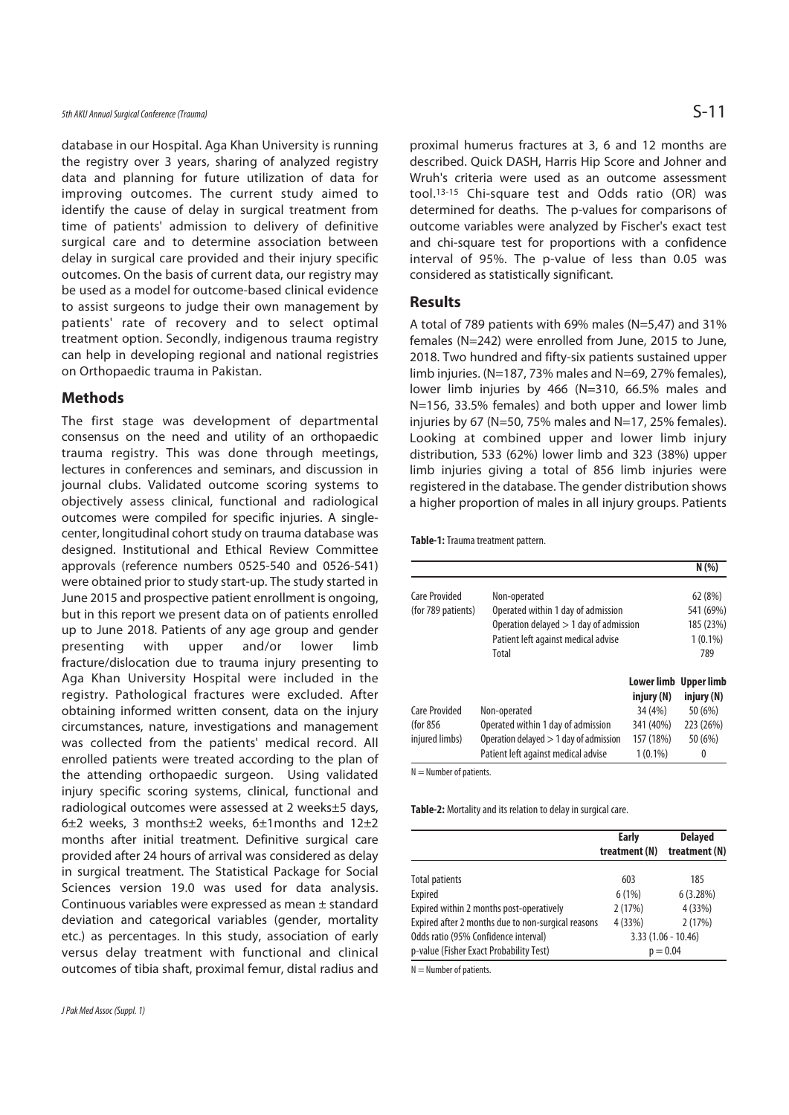database in our Hospital. Aga Khan University is running the registry over 3 years, sharing of analyzed registry data and planning for future utilization of data for improving outcomes. The current study aimed to identify the cause of delay in surgical treatment from time of patients' admission to delivery of definitive surgical care and to determine association between delay in surgical care provided and their injury specific outcomes. On the basis of current data, our registry may be used as a model for outcome-based clinical evidence to assist surgeons to judge their own management by patients' rate of recovery and to select optimal treatment option. Secondly, indigenous trauma registry can help in developing regional and national registries on Orthopaedic trauma in Pakistan.

#### **Methods**

The first stage was development of departmental consensus on the need and utility of an orthopaedic trauma registry. This was done through meetings, lectures in conferences and seminars, and discussion in journal clubs. Validated outcome scoring systems to objectively assess clinical, functional and radiological outcomes were compiled for specific injuries. A singlecenter, longitudinal cohort study on trauma database was designed. Institutional and Ethical Review Committee approvals (reference numbers 0525-540 and 0526-541) were obtained prior to study start-up. The study started in June 2015 and prospective patient enrollment is ongoing, but in this report we present data on of patients enrolled up to June 2018. Patients of any age group and gender presenting with upper and/or lower limb fracture/dislocation due to trauma injury presenting to Aga Khan University Hospital were included in the registry. Pathological fractures were excluded. After obtaining informed written consent, data on the injury circumstances, nature, investigations and management was collected from the patients' medical record. All enrolled patients were treated according to the plan of the attending orthopaedic surgeon. Using validated injury specific scoring systems, clinical, functional and radiological outcomes were assessed at 2 weeks±5 days, 6±2 weeks, 3 months±2 weeks, 6±1months and 12±2 months after initial treatment. Definitive surgical care provided after 24 hours of arrival was considered as delay in surgical treatment. The Statistical Package for Social Sciences version 19.0 was used for data analysis. Continuous variables were expressed as mean ± standard deviation and categorical variables (gender, mortality etc.) as percentages. In this study, association of early versus delay treatment with functional and clinical outcomes of tibia shaft, proximal femur, distal radius and

proximal humerus fractures at 3, 6 and 12 months are described. Quick DASH, Harris Hip Score and Johner and Wruh's criteria were used as an outcome assessment tool.13-15 Chi-square test and Odds ratio (OR) was determined for deaths. The p-values for comparisons of outcome variables were analyzed by Fischer's exact test and chi-square test for proportions with a confidence interval of 95%. The p-value of less than 0.05 was considered as statistically significant.

#### **Results**

A total of 789 patients with 69% males (N=5,47) and 31% females (N=242) were enrolled from June, 2015 to June, 2018. Two hundred and fifty-six patients sustained upper limb injuries. (N=187, 73% males and N=69, 27% females), lower limb injuries by 466 (N=310, 66.5% males and N=156, 33.5% females) and both upper and lower limb injuries by 67 (N=50, 75% males and N=17, 25% females). Looking at combined upper and lower limb injury distribution, 533 (62%) lower limb and 323 (38%) upper limb injuries giving a total of 856 limb injuries were registered in the database. The gender distribution shows a higher proportion of males in all injury groups. Patients

**Table-1:** Trauma treatment pattern.

|                      |                                          |            | N(% )                 |
|----------------------|------------------------------------------|------------|-----------------------|
| <b>Care Provided</b> | Non-operated                             |            | 62(8%)                |
| (for 789 patients)   | Operated within 1 day of admission       |            | 541 (69%)             |
|                      | Operation delayed $> 1$ day of admission |            | 185 (23%)             |
|                      | Patient left against medical advise      |            | $1(0.1\%)$            |
|                      | Total                                    |            | 789                   |
|                      |                                          |            | Lower limb Upper limb |
|                      |                                          | injury (N) | injury (N)            |
| <b>Care Provided</b> | Non-operated                             | 34 (4%)    | 50 (6%)               |
| (for 856             | Operated within 1 day of admission       | 341 (40%)  | 223 (26%)             |
| injured limbs)       | Operation delayed $>$ 1 day of admission | 157 (18%)  | 50 (6%)               |
|                      | Patient left against medical advise      | $1(0.1\%)$ | 0                     |

 $N =$  Number of patients.

**Table-2:** Mortality and its relation to delay in surgical care.

|                                                    | <b>Early</b><br>treatment (N) | <b>Delayed</b><br>treatment (N) |  |
|----------------------------------------------------|-------------------------------|---------------------------------|--|
|                                                    |                               |                                 |  |
| <b>Total patients</b>                              | 603                           | 185                             |  |
| Expired                                            | 6(1%)                         | 6(3.28%)                        |  |
| Expired within 2 months post-operatively           | 2(17%)                        | 4 (33%)                         |  |
| Expired after 2 months due to non-surgical reasons | 4 (33%)                       | 2(17%)                          |  |
| Odds ratio (95% Confidence interval)               |                               | $3.33(1.06 - 10.46)$            |  |
| p-value (Fisher Exact Probability Test)            | $p = 0.04$                    |                                 |  |

 $N =$  Number of patients.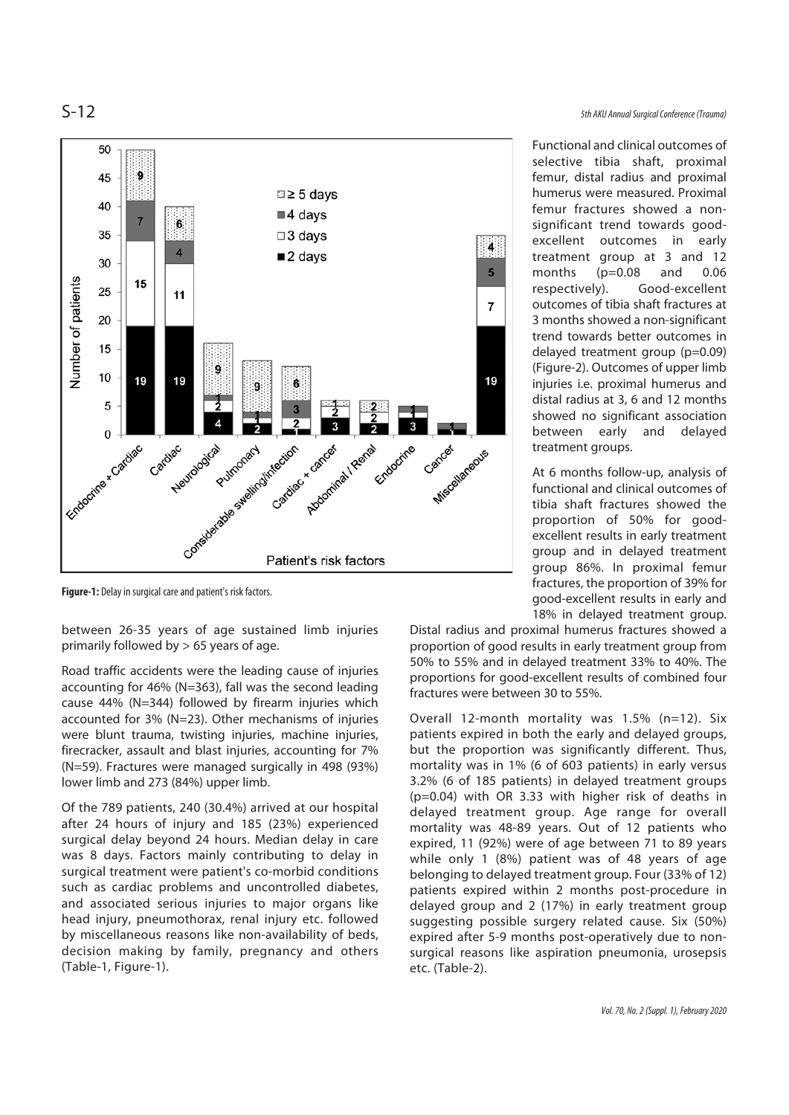

**Figure-1:** Delay in surgical care and patient's risk factors.

between 26-35 years of age sustained limb injuries primarily followed by  $> 65$  years of age.

Road traffic accidents were the leading cause of injuries accounting for 46% (N=363), fall was the second leading cause 44% (N=344) followed by firearm injuries which accounted for 3% (N=23). Other mechanisms of injuries were blunt trauma, twisting injuries, machine injuries, firecracker, assault and blast injuries, accounting for 7% (N=59). Fractures were managed surgically in 498 (93%) lower limb and 273 (84%) upper limb.

Of the 789 patients, 240 (30.4%) arrived at our hospital after 24 hours of injury and 185 (23%) experienced surgical delay beyond 24 hours. Median delay in care was 8 days. Factors mainly contributing to delay in surgical treatment were patient's co-morbid conditions such as cardiac problems and uncontrolled diabetes, and associated serious injuries to major organs like head injury, pneumothorax, renal injury etc. followed by miscellaneous reasons like non-availability of beds, decision making by family, pregnancy and others (Table-1, Figure-1).

Functional and clinical outcomes of selective tibia shaft, proximal femur, distal radius and proximal humerus were measured. Proximal femur fractures showed a nonsignificant trend towards goodexcellent outcomes in early treatment group at 3 and 12 months (p=0.08 and 0.06 respectively). Good-excellent outcomes of tibia shaft fractures at 3 months showed a non-significant trend towards better outcomes in delayed treatment group (p=0.09) (Figure-2). Outcomes of upper limb injuries i.e. proximal humerus and distal radius at 3, 6 and 12 months showed no significant association between early and delayed treatment groups.

At 6 months follow-up, analysis of functional and clinical outcomes of tibia shaft fractures showed the proportion of 50% for goodexcellent results in early treatment group and in delayed treatment group 86%. In proximal femur fractures, the proportion of 39% for good-excellent results in early and 18% in delayed treatment group.

Distal radius and proximal humerus fractures showed a proportion of good results in early treatment group from 50% to 55% and in delayed treatment 33% to 40%. The proportions for good-excellent results of combined four fractures were between 30 to 55%.

Overall 12-month mortality was 1.5% (n=12). Six patients expired in both the early and delayed groups, but the proportion was significantly different. Thus, mortality was in 1% (6 of 603 patients) in early versus 3.2% (6 of 185 patients) in delayed treatment groups (p=0.04) with OR 3.33 with higher risk of deaths in delayed treatment group. Age range for overall mortality was 48-89 years. Out of 12 patients who expired, 11 (92%) were of age between 71 to 89 years while only 1 (8%) patient was of 48 years of age belonging to delayed treatment group. Four (33% of 12) patients expired within 2 months post-procedure in delayed group and 2 (17%) in early treatment group suggesting possible surgery related cause. Six (50%) expired after 5-9 months post-operatively due to nonsurgical reasons like aspiration pneumonia, urosepsis etc. (Table-2).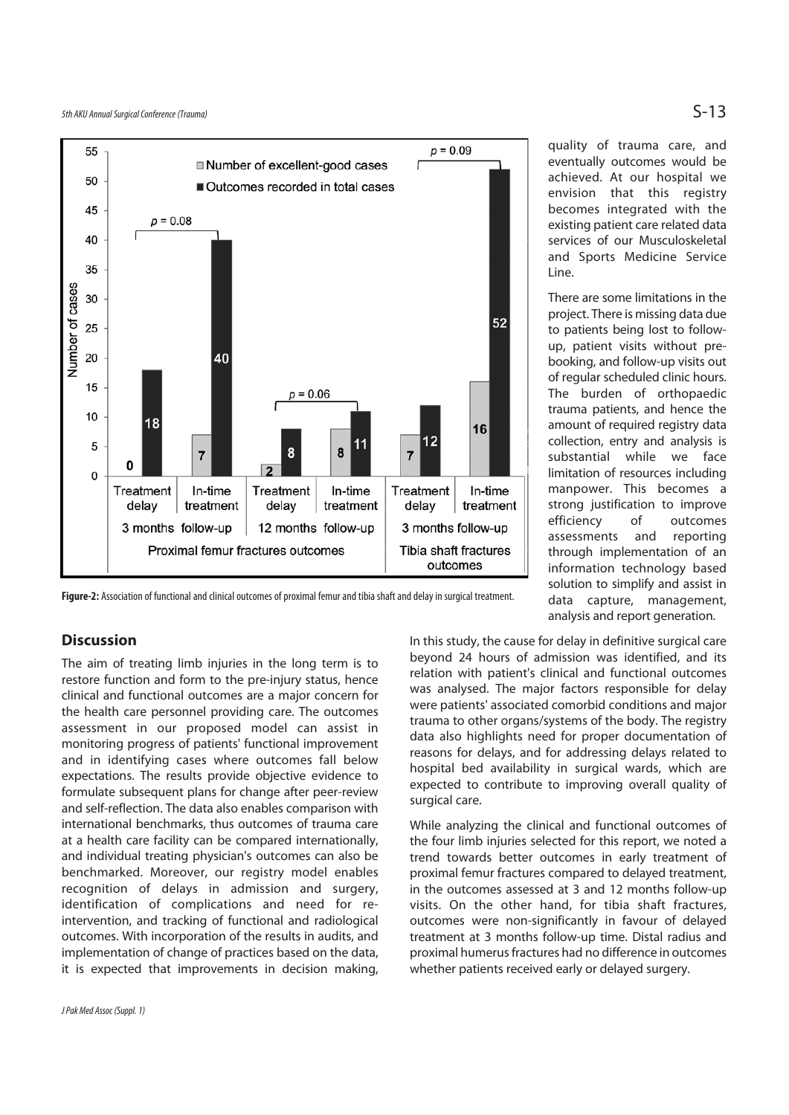

**Figure-2:** Association of functional and clinical outcomes of proximal femur and tibia shaft and delay in surgical treatment.

#### **Discussion**

The aim of treating limb injuries in the long term is to restore function and form to the pre-injury status, hence clinical and functional outcomes are a major concern for the health care personnel providing care. The outcomes assessment in our proposed model can assist in monitoring progress of patients' functional improvement and in identifying cases where outcomes fall below expectations. The results provide objective evidence to formulate subsequent plans for change after peer-review and self-reflection. The data also enables comparison with international benchmarks, thus outcomes of trauma care at a health care facility can be compared internationally, and individual treating physician's outcomes can also be benchmarked. Moreover, our registry model enables recognition of delays in admission and surgery, identification of complications and need for reintervention, and tracking of functional and radiological outcomes. With incorporation of the results in audits, and implementation of change of practices based on the data, it is expected that improvements in decision making,

quality of trauma care, and eventually outcomes would be achieved. At our hospital we envision that this registry becomes integrated with the existing patient care related data services of our Musculoskeletal and Sports Medicine Service Line.

There are some limitations in the project. There is missing data due to patients being lost to followup, patient visits without prebooking, and follow-up visits out of regular scheduled clinic hours. The burden of orthopaedic trauma patients, and hence the amount of required registry data collection, entry and analysis is substantial while we face limitation of resources including manpower. This becomes a strong justification to improve efficiency of outcomes assessments and reporting through implementation of an information technology based solution to simplify and assist in data capture, management, analysis and report generation.

In this study, the cause for delay in definitive surgical care beyond 24 hours of admission was identified, and its relation with patient's clinical and functional outcomes was analysed. The major factors responsible for delay were patients' associated comorbid conditions and major trauma to other organs/systems of the body. The registry data also highlights need for proper documentation of reasons for delays, and for addressing delays related to hospital bed availability in surgical wards, which are expected to contribute to improving overall quality of surgical care.

While analyzing the clinical and functional outcomes of the four limb injuries selected for this report, we noted a trend towards better outcomes in early treatment of proximal femur fractures compared to delayed treatment, in the outcomes assessed at 3 and 12 months follow-up visits. On the other hand, for tibia shaft fractures, outcomes were non-significantly in favour of delayed treatment at 3 months follow-up time. Distal radius and proximal humerus fractures had no difference in outcomes whether patients received early or delayed surgery.